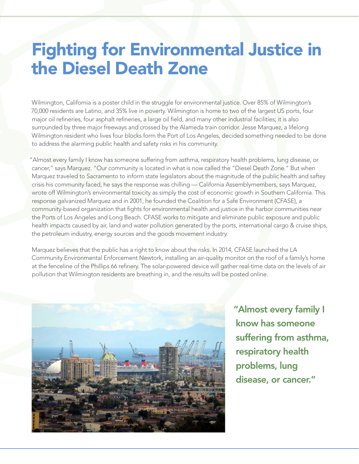## Fighting for Environmental Justice in the Diesel Death Zone

Wilmington, California is a poster child in the struggle for environmental justice. Over 85% of Wilmington's 70,000 residents are Latino, and 35% live in poverty. Wilmington is home to two of the largest US ports, four major oil refineries, four asphalt refineries, a large oil field, and many other industrial facilities; it is also surrounded by three major freeways and crossed by the Alameda train corridor. Jesse Marquez, a lifelong Wilmington resident who lives four blocks form the Port of Los Angeles, decided something needed to be done to address the alarming public health and safety risks in his community.

"Almost every family I know has someone suffering from asthma, respiratory health problems, lung disease, or cancer," says Marquez. "Our community is located in what is now called the "Diesel Death Zone." But when Marquez traveled to Sacramento to inform state legislators about the magnitude of the public health and saftey crisis his community faced, he says the response was chilling — California Assemblymembers, says Marquez, wrote off Wilmington's environmental toxicity as simply the cost of economic growth in Southern California. This response galvanized Marquez and in 2001, he founded the Coalition for a Safe Environment (CFASE), a community-based organization that fights for environmental health and justice in the harbor communities near the Ports of Los Angeles and Long Beach. CFASE works to mitigate and eliminate public exposure and public health impacts caused by air, land and water pollution generated by the ports, international cargo & cruise ships, the petroleum industry, energy sources and the goods movement industry.

Marquez believes that the public has a right to know about the risks. In 2014, CFASE launched the LA Community Environmental Enforcement Newtork, installing an air-quality monitor on the roof of a family's home at the fenceline of the Phillips 66 refinery. The solar-powered device will gather real-time data on the levels of air pollution that Wilmington residents are breathing in, and the results will be posted online.



"Almost every family I know has someone suffering from asthma, respiratory health problems, lung disease, or cancer."